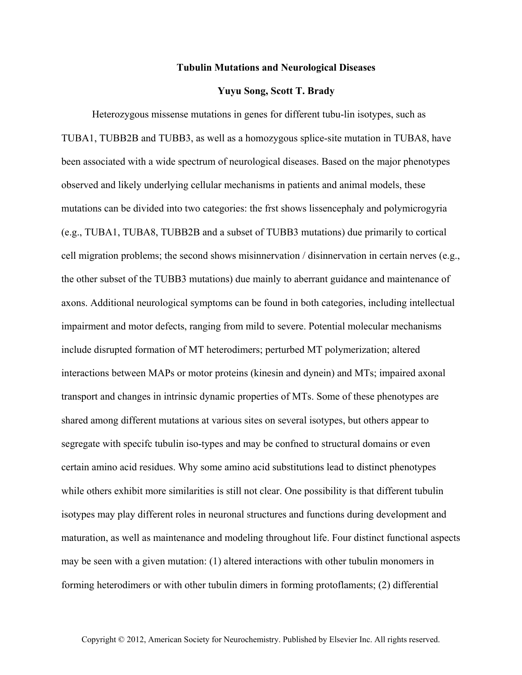## **Tubulin Mutations and Neurological Diseases**

## **Yuyu Song, Scott T. Brady**

Heterozygous missense mutations in genes for different tubu-lin isotypes, such as TUBA1, TUBB2B and TUBB3, as well as a homozygous splice-site mutation in TUBA8, have been associated with a wide spectrum of neurological diseases. Based on the major phenotypes observed and likely underlying cellular mechanisms in patients and animal models, these mutations can be divided into two categories: the frst shows lissencephaly and polymicrogyria (e.g., TUBA1, TUBA8, TUBB2B and a subset of TUBB3 mutations) due primarily to cortical cell migration problems; the second shows misinnervation / disinnervation in certain nerves (e.g., the other subset of the TUBB3 mutations) due mainly to aberrant guidance and maintenance of axons. Additional neurological symptoms can be found in both categories, including intellectual impairment and motor defects, ranging from mild to severe. Potential molecular mechanisms include disrupted formation of MT heterodimers; perturbed MT polymerization; altered interactions between MAPs or motor proteins (kinesin and dynein) and MTs; impaired axonal transport and changes in intrinsic dynamic properties of MTs. Some of these phenotypes are shared among different mutations at various sites on several isotypes, but others appear to segregate with specifc tubulin iso-types and may be confned to structural domains or even certain amino acid residues. Why some amino acid substitutions lead to distinct phenotypes while others exhibit more similarities is still not clear. One possibility is that different tubulin isotypes may play different roles in neuronal structures and functions during development and maturation, as well as maintenance and modeling throughout life. Four distinct functional aspects may be seen with a given mutation: (1) altered interactions with other tubulin monomers in forming heterodimers or with other tubulin dimers in forming protoflaments; (2) differential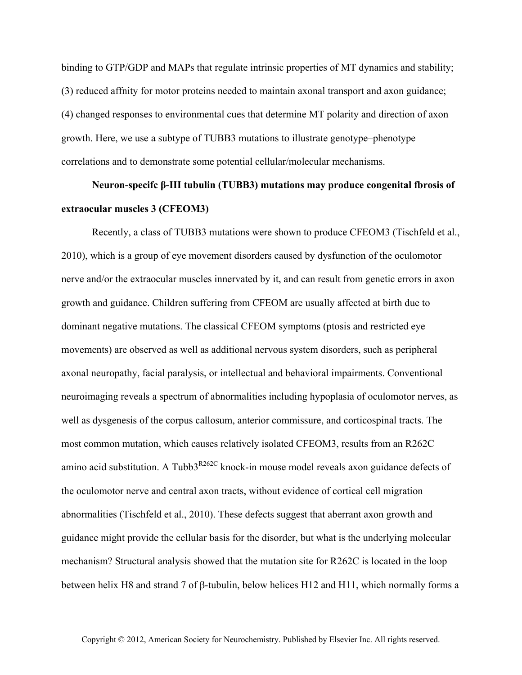binding to GTP/GDP and MAPs that regulate intrinsic properties of MT dynamics and stability; (3) reduced affnity for motor proteins needed to maintain axonal transport and axon guidance; (4) changed responses to environmental cues that determine MT polarity and direction of axon growth. Here, we use a subtype of TUBB3 mutations to illustrate genotype–phenotype correlations and to demonstrate some potential cellular/molecular mechanisms.

## **Neuron-specifc β-III tubulin (TUBB3) mutations may produce congenital fbrosis of extraocular muscles 3 (CFEOM3)**

Recently, a class of TUBB3 mutations were shown to produce CFEOM3 (Tischfeld et al., 2010), which is a group of eye movement disorders caused by dysfunction of the oculomotor nerve and/or the extraocular muscles innervated by it, and can result from genetic errors in axon growth and guidance. Children suffering from CFEOM are usually affected at birth due to dominant negative mutations. The classical CFEOM symptoms (ptosis and restricted eye movements) are observed as well as additional nervous system disorders, such as peripheral axonal neuropathy, facial paralysis, or intellectual and behavioral impairments. Conventional neuroimaging reveals a spectrum of abnormalities including hypoplasia of oculomotor nerves, as well as dysgenesis of the corpus callosum, anterior commissure, and corticospinal tracts. The most common mutation, which causes relatively isolated CFEOM3, results from an R262C amino acid substitution. A Tubb $3^{R262C}$  knock-in mouse model reveals axon guidance defects of the oculomotor nerve and central axon tracts, without evidence of cortical cell migration abnormalities (Tischfeld et al., 2010). These defects suggest that aberrant axon growth and guidance might provide the cellular basis for the disorder, but what is the underlying molecular mechanism? Structural analysis showed that the mutation site for R262C is located in the loop between helix H8 and strand 7 of β-tubulin, below helices H12 and H11, which normally forms a